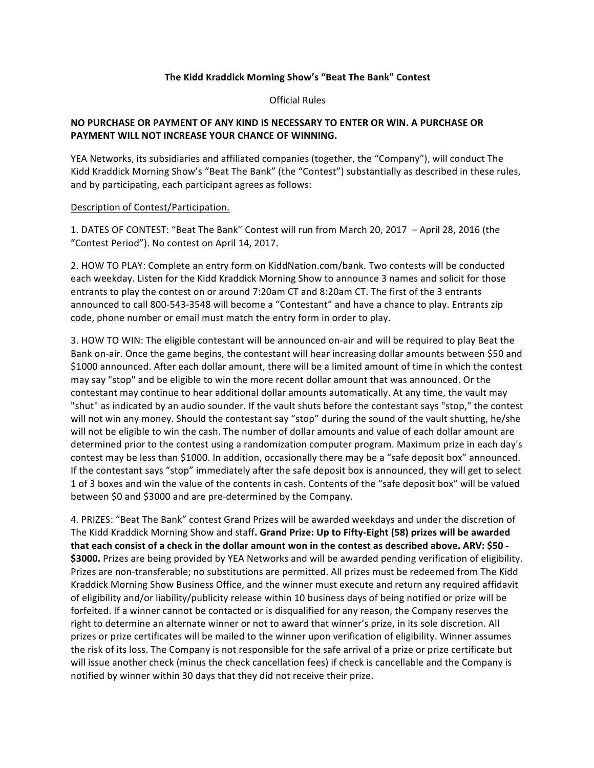## The Kidd Kraddick Morning Show's "Beat The Bank" Contest

Official Rules

## NO PURCHASE OR PAYMENT OF ANY KIND IS NECESSARY TO ENTER OR WIN. A PURCHASE OR **PAYMENT WILL NOT INCREASE YOUR CHANCE OF WINNING.**

YEA Networks, its subsidiaries and affiliated companies (together, the "Company"), will conduct The Kidd Kraddick Morning Show's "Beat The Bank" (the "Contest") substantially as described in these rules, and by participating, each participant agrees as follows:

## Description of Contest/Participation.

1. DATES OF CONTEST: "Beat The Bank" Contest will run from March 20, 2017 - April 28, 2016 (the "Contest Period"). No contest on April 14, 2017.

2. HOW TO PLAY: Complete an entry form on KiddNation.com/bank. Two contests will be conducted each weekday. Listen for the Kidd Kraddick Morning Show to announce 3 names and solicit for those entrants to play the contest on or around 7:20am CT and 8:20am CT. The first of the 3 entrants announced to call 800-543-3548 will become a "Contestant" and have a chance to play. Entrants zip code, phone number or email must match the entry form in order to play.

3. HOW TO WIN: The eligible contestant will be announced on-air and will be required to play Beat the Bank on-air. Once the game begins, the contestant will hear increasing dollar amounts between \$50 and \$1000 announced. After each dollar amount, there will be a limited amount of time in which the contest may say "stop" and be eligible to win the more recent dollar amount that was announced. Or the contestant may continue to hear additional dollar amounts automatically. At any time, the vault may "shut" as indicated by an audio sounder. If the vault shuts before the contestant says "stop," the contest will not win any money. Should the contestant say "stop" during the sound of the vault shutting, he/she will not be eligible to win the cash. The number of dollar amounts and value of each dollar amount are determined prior to the contest using a randomization computer program. Maximum prize in each day's contest may be less than \$1000. In addition, occasionally there may be a "safe deposit box" announced. If the contestant says "stop" immediately after the safe deposit box is announced, they will get to select 1 of 3 boxes and win the value of the contents in cash. Contents of the "safe deposit box" will be valued between \$0 and \$3000 and are pre-determined by the Company.

4. PRIZES: "Beat The Bank" contest Grand Prizes will be awarded weekdays and under the discretion of The Kidd Kraddick Morning Show and staff. Grand Prize: Up to Fifty-Eight (58) prizes will be awarded that each consist of a check in the dollar amount won in the contest as described above. ARV: \$50 -\$3000. Prizes are being provided by YEA Networks and will be awarded pending verification of eligibility. Prizes are non-transferable; no substitutions are permitted. All prizes must be redeemed from The Kidd Kraddick Morning Show Business Office, and the winner must execute and return any required affidavit of eligibility and/or liability/publicity release within 10 business days of being notified or prize will be forfeited. If a winner cannot be contacted or is disqualified for any reason, the Company reserves the right to determine an alternate winner or not to award that winner's prize, in its sole discretion. All prizes or prize certificates will be mailed to the winner upon verification of eligibility. Winner assumes the risk of its loss. The Company is not responsible for the safe arrival of a prize or prize certificate but will issue another check (minus the check cancellation fees) if check is cancellable and the Company is notified by winner within 30 days that they did not receive their prize.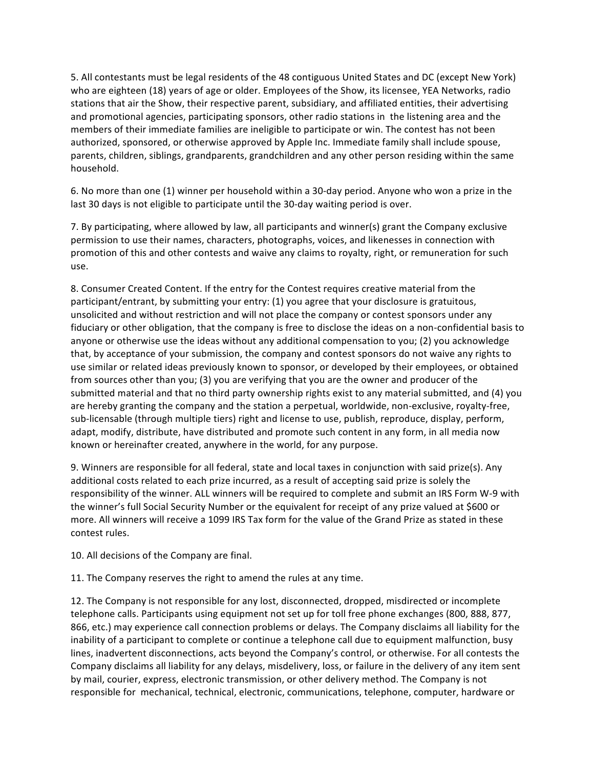5. All contestants must be legal residents of the 48 contiguous United States and DC (except New York) who are eighteen (18) years of age or older. Employees of the Show, its licensee, YEA Networks, radio stations that air the Show, their respective parent, subsidiary, and affiliated entities, their advertising and promotional agencies, participating sponsors, other radio stations in the listening area and the members of their immediate families are ineligible to participate or win. The contest has not been authorized, sponsored, or otherwise approved by Apple Inc. Immediate family shall include spouse, parents, children, siblings, grandparents, grandchildren and any other person residing within the same household.

6. No more than one (1) winner per household within a 30-day period. Anyone who won a prize in the last 30 days is not eligible to participate until the 30-day waiting period is over.

7. By participating, where allowed by law, all participants and winner(s) grant the Company exclusive permission to use their names, characters, photographs, voices, and likenesses in connection with promotion of this and other contests and waive any claims to royalty, right, or remuneration for such use.

8. Consumer Created Content. If the entry for the Contest requires creative material from the participant/entrant, by submitting your entry: (1) you agree that your disclosure is gratuitous, unsolicited and without restriction and will not place the company or contest sponsors under any fiduciary or other obligation, that the company is free to disclose the ideas on a non-confidential basis to anyone or otherwise use the ideas without any additional compensation to you; (2) you acknowledge that, by acceptance of your submission, the company and contest sponsors do not waive any rights to use similar or related ideas previously known to sponsor, or developed by their employees, or obtained from sources other than you; (3) you are verifying that you are the owner and producer of the submitted material and that no third party ownership rights exist to any material submitted, and (4) you are hereby granting the company and the station a perpetual, worldwide, non-exclusive, royalty-free, sub-licensable (through multiple tiers) right and license to use, publish, reproduce, display, perform, adapt, modify, distribute, have distributed and promote such content in any form, in all media now known or hereinafter created, anywhere in the world, for any purpose.

9. Winners are responsible for all federal, state and local taxes in conjunction with said prize(s). Any additional costs related to each prize incurred, as a result of accepting said prize is solely the responsibility of the winner. ALL winners will be required to complete and submit an IRS Form W-9 with the winner's full Social Security Number or the equivalent for receipt of any prize valued at \$600 or more. All winners will receive a 1099 IRS Tax form for the value of the Grand Prize as stated in these contest rules.

10. All decisions of the Company are final.

11. The Company reserves the right to amend the rules at any time.

12. The Company is not responsible for any lost, disconnected, dropped, misdirected or incomplete telephone calls. Participants using equipment not set up for toll free phone exchanges (800, 888, 877, 866, etc.) may experience call connection problems or delays. The Company disclaims all liability for the inability of a participant to complete or continue a telephone call due to equipment malfunction, busy lines, inadvertent disconnections, acts beyond the Company's control, or otherwise. For all contests the Company disclaims all liability for any delays, misdelivery, loss, or failure in the delivery of any item sent by mail, courier, express, electronic transmission, or other delivery method. The Company is not responsible for mechanical, technical, electronic, communications, telephone, computer, hardware or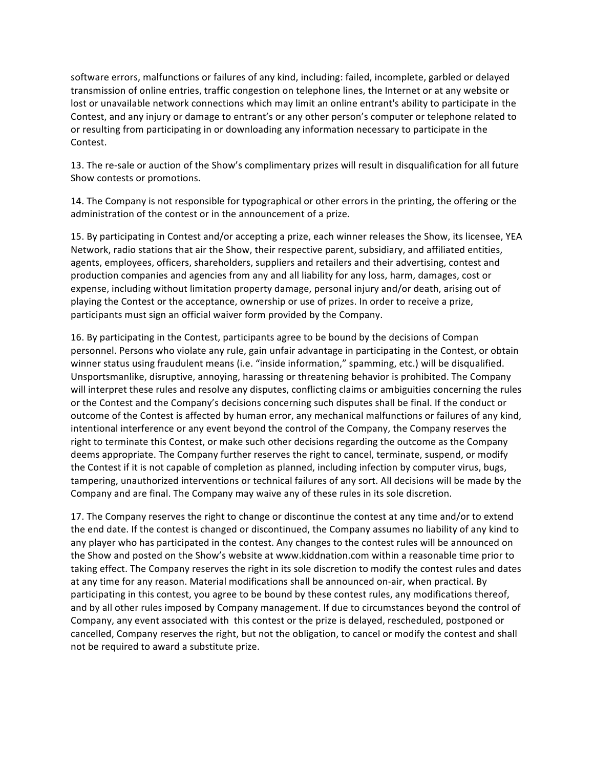software errors, malfunctions or failures of any kind, including: failed, incomplete, garbled or delayed transmission of online entries, traffic congestion on telephone lines, the Internet or at any website or lost or unavailable network connections which may limit an online entrant's ability to participate in the Contest, and any injury or damage to entrant's or any other person's computer or telephone related to or resulting from participating in or downloading any information necessary to participate in the Contest.

13. The re-sale or auction of the Show's complimentary prizes will result in disqualification for all future Show contests or promotions.

14. The Company is not responsible for typographical or other errors in the printing, the offering or the administration of the contest or in the announcement of a prize.

15. By participating in Contest and/or accepting a prize, each winner releases the Show, its licensee, YEA Network, radio stations that air the Show, their respective parent, subsidiary, and affiliated entities, agents, employees, officers, shareholders, suppliers and retailers and their advertising, contest and production companies and agencies from any and all liability for any loss, harm, damages, cost or expense, including without limitation property damage, personal injury and/or death, arising out of playing the Contest or the acceptance, ownership or use of prizes. In order to receive a prize, participants must sign an official waiver form provided by the Company.

16. By participating in the Contest, participants agree to be bound by the decisions of Compan personnel. Persons who violate any rule, gain unfair advantage in participating in the Contest, or obtain winner status using fraudulent means (i.e. "inside information," spamming, etc.) will be disqualified. Unsportsmanlike, disruptive, annoying, harassing or threatening behavior is prohibited. The Company will interpret these rules and resolve any disputes, conflicting claims or ambiguities concerning the rules or the Contest and the Company's decisions concerning such disputes shall be final. If the conduct or outcome of the Contest is affected by human error, any mechanical malfunctions or failures of any kind, intentional interference or any event beyond the control of the Company, the Company reserves the right to terminate this Contest, or make such other decisions regarding the outcome as the Company deems appropriate. The Company further reserves the right to cancel, terminate, suspend, or modify the Contest if it is not capable of completion as planned, including infection by computer virus, bugs, tampering, unauthorized interventions or technical failures of any sort. All decisions will be made by the Company and are final. The Company may waive any of these rules in its sole discretion.

17. The Company reserves the right to change or discontinue the contest at any time and/or to extend the end date. If the contest is changed or discontinued, the Company assumes no liability of any kind to any player who has participated in the contest. Any changes to the contest rules will be announced on the Show and posted on the Show's website at www.kiddnation.com within a reasonable time prior to taking effect. The Company reserves the right in its sole discretion to modify the contest rules and dates at any time for any reason. Material modifications shall be announced on-air, when practical. By participating in this contest, you agree to be bound by these contest rules, any modifications thereof, and by all other rules imposed by Company management. If due to circumstances beyond the control of Company, any event associated with this contest or the prize is delayed, rescheduled, postponed or cancelled, Company reserves the right, but not the obligation, to cancel or modify the contest and shall not be required to award a substitute prize.